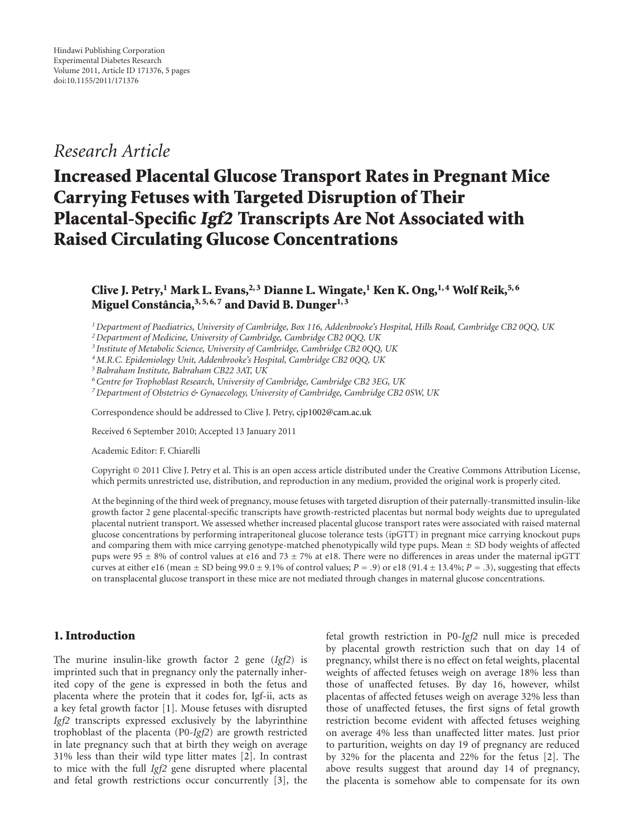## *Research Article*

# **Increased Placental Glucose Transport Rates in Pregnant Mice Carrying Fetuses with Targeted Disruption of Their Placental-Specific Igf2 Transcripts Are Not Associated with Raised Circulating Glucose Concentrations**

### **Clive J. Petry,1 Mark L. Evans,2, 3 Dianne L. Wingate,1 Ken K. Ong,1, 4 Wolf Reik,5, 6 Miguel Constancia, ˆ 3, 5, 6, 7 and David B. Dunger1, 3**

*1Department of Paediatrics, University of Cambridge, Box 116, Addenbrooke's Hospital, Hills Road, Cambridge CB2 0QQ, UK*

*2Department of Medicine, University of Cambridge, Cambridge CB2 0QQ, UK*

*<sup>3</sup> Institute of Metabolic Science, University of Cambridge, Cambridge CB2 0QQ, UK*

*4M.R.C. Epidemiology Unit, Addenbrooke's Hospital, Cambridge CB2 0QQ, UK*

*5Babraham Institute, Babraham CB22 3AT, UK*

*6Centre for Trophoblast Research, University of Cambridge, Cambridge CB2 3EG, UK*

*7Department of Obstetrics & Gynaecology, University of Cambridge, Cambridge CB2 0SW, UK*

Correspondence should be addressed to Clive J. Petry, [cjp1002@cam.ac.uk](mailto:cjp1002@cam.ac.uk)

Received 6 September 2010; Accepted 13 January 2011

Academic Editor: F. Chiarelli

Copyright © 2011 Clive J. Petry et al. This is an open access article distributed under the Creative Commons Attribution License, which permits unrestricted use, distribution, and reproduction in any medium, provided the original work is properly cited.

At the beginning of the third week of pregnancy, mouse fetuses with targeted disruption of their paternally-transmitted insulin-like growth factor 2 gene placental-specific transcripts have growth-restricted placentas but normal body weights due to upregulated placental nutrient transport. We assessed whether increased placental glucose transport rates were associated with raised maternal glucose concentrations by performing intraperitoneal glucose tolerance tests (ipGTT) in pregnant mice carrying knockout pups and comparing them with mice carrying genotype-matched phenotypically wild type pups. Mean  $\pm$  SD body weights of affected pups were 95  $\pm$  8% of control values at e16 and 73  $\pm$  7% at e18. There were no differences in areas under the maternal ipGTT curves at either e16 (mean  $\pm$  SD being 99.0  $\pm$  9.1% of control values; *P* = .9) or e18 (91.4  $\pm$  13.4%; *P* = .3), suggesting that effects on transplacental glucose transport in these mice are not mediated through changes in maternal glucose concentrations.

#### **1. Introduction**

The murine insulin-like growth factor 2 gene (*Igf2*) is imprinted such that in pregnancy only the paternally inherited copy of the gene is expressed in both the fetus and placenta where the protein that it codes for, Igf-ii, acts as a key fetal growth factor [\[1\]](#page-4-1). Mouse fetuses with disrupted *Igf2* transcripts expressed exclusively by the labyrinthine trophoblast of the placenta (P0-*Igf2*) are growth restricted in late pregnancy such that at birth they weigh on average 31% less than their wild type litter mates [\[2\]](#page-4-2). In contrast to mice with the full *Igf2* gene disrupted where placental and fetal growth restrictions occur concurrently [\[3](#page-4-3)], the

fetal growth restriction in P0-*Igf2* null mice is preceded by placental growth restriction such that on day 14 of pregnancy, whilst there is no effect on fetal weights, placental weights of affected fetuses weigh on average 18% less than those of unaffected fetuses. By day 16, however, whilst placentas of affected fetuses weigh on average 32% less than those of unaffected fetuses, the first signs of fetal growth restriction become evident with affected fetuses weighing on average 4% less than unaffected litter mates. Just prior to parturition, weights on day 19 of pregnancy are reduced by 32% for the placenta and 22% for the fetus [\[2\]](#page-4-2). The above results suggest that around day 14 of pregnancy, the placenta is somehow able to compensate for its own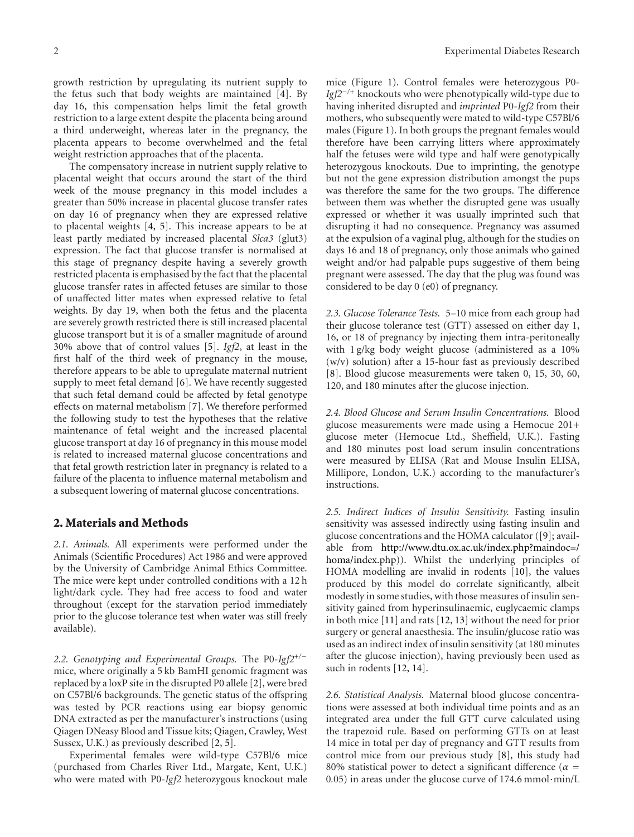growth restriction by upregulating its nutrient supply to the fetus such that body weights are maintained [\[4\]](#page-4-4). By day 16, this compensation helps limit the fetal growth restriction to a large extent despite the placenta being around a third underweight, whereas later in the pregnancy, the placenta appears to become overwhelmed and the fetal weight restriction approaches that of the placenta.

The compensatory increase in nutrient supply relative to placental weight that occurs around the start of the third week of the mouse pregnancy in this model includes a greater than 50% increase in placental glucose transfer rates on day 16 of pregnancy when they are expressed relative to placental weights [\[4,](#page-4-4) [5](#page-4-5)]. This increase appears to be at least partly mediated by increased placental *Slca3* (glut3) expression. The fact that glucose transfer is normalised at this stage of pregnancy despite having a severely growth restricted placenta is emphasised by the fact that the placental glucose transfer rates in affected fetuses are similar to those of unaffected litter mates when expressed relative to fetal weights. By day 19, when both the fetus and the placenta are severely growth restricted there is still increased placental glucose transport but it is of a smaller magnitude of around 30% above that of control values [\[5](#page-4-5)]. *Igf2*, at least in the first half of the third week of pregnancy in the mouse, therefore appears to be able to upregulate maternal nutrient supply to meet fetal demand [\[6](#page-4-6)]. We have recently suggested that such fetal demand could be affected by fetal genotype effects on maternal metabolism [\[7\]](#page-4-7). We therefore performed the following study to test the hypotheses that the relative maintenance of fetal weight and the increased placental glucose transport at day 16 of pregnancy in this mouse model is related to increased maternal glucose concentrations and that fetal growth restriction later in pregnancy is related to a failure of the placenta to influence maternal metabolism and a subsequent lowering of maternal glucose concentrations.

#### **2. Materials and Methods**

*2.1. Animals.* All experiments were performed under the Animals (Scientific Procedures) Act 1986 and were approved by the University of Cambridge Animal Ethics Committee. The mice were kept under controlled conditions with a 12 h light/dark cycle. They had free access to food and water throughout (except for the starvation period immediately prior to the glucose tolerance test when water was still freely available).

*2.2. Genotyping and Experimental Groups.* The P0-*Igf2*<sup>+</sup>*/*<sup>−</sup> mice, where originally a 5 kb BamHI genomic fragment was replaced by a loxP site in the disrupted P0 allele [\[2\]](#page-4-2), were bred on C57Bl/6 backgrounds. The genetic status of the offspring was tested by PCR reactions using ear biopsy genomic DNA extracted as per the manufacturer's instructions (using Qiagen DNeasy Blood and Tissue kits; Qiagen, Crawley, West Sussex, U.K.) as previously described [\[2](#page-4-2), [5\]](#page-4-5).

Experimental females were wild-type C57Bl/6 mice (purchased from Charles River Ltd., Margate, Kent, U.K.) who were mated with P0-*Igf2* heterozygous knockout male

mice (Figure [1\)](#page-2-0). Control females were heterozygous P0- *Igf2<sup>−/+</sup>* knockouts who were phenotypically wild-type due to having inherited disrupted and *imprinted* P0-*Igf2* from their mothers, who subsequently were mated to wild-type C57Bl/6 males (Figure [1\)](#page-2-0). In both groups the pregnant females would therefore have been carrying litters where approximately half the fetuses were wild type and half were genotypically heterozygous knockouts. Due to imprinting, the genotype but not the gene expression distribution amongst the pups was therefore the same for the two groups. The difference between them was whether the disrupted gene was usually expressed or whether it was usually imprinted such that disrupting it had no consequence. Pregnancy was assumed at the expulsion of a vaginal plug, although for the studies on days 16 and 18 of pregnancy, only those animals who gained weight and/or had palpable pups suggestive of them being pregnant were assessed. The day that the plug was found was considered to be day 0 (e0) of pregnancy.

*2.3. Glucose Tolerance Tests.* 5–10 mice from each group had their glucose tolerance test (GTT) assessed on either day 1, 16, or 18 of pregnancy by injecting them intra-peritoneally with 1 g/kg body weight glucose (administered as a 10% (w/v) solution) after a 15-hour fast as previously described [\[8](#page-4-8)]. Blood glucose measurements were taken 0, 15, 30, 60, 120, and 180 minutes after the glucose injection.

*2.4. Blood Glucose and Serum Insulin Concentrations.* Blood glucose measurements were made using a Hemocue 201+ glucose meter (Hemocue Ltd., Sheffield, U.K.). Fasting and 180 minutes post load serum insulin concentrations were measured by ELISA (Rat and Mouse Insulin ELISA, Millipore, London, U.K.) according to the manufacturer's instructions.

*2.5. Indirect Indices of Insulin Sensitivity.* Fasting insulin sensitivity was assessed indirectly using fasting insulin and glucose concentrations and the HOMA calculator ([\[9\]](#page-4-9); available from [http://www.dtu.ox.ac.uk/index.php?maindoc](http://www.dtu.ox.ac.uk/index.php?maindoc=/homa/index.php)=/ [homa/index.php\)](http://www.dtu.ox.ac.uk/index.php?maindoc=/homa/index.php)). Whilst the underlying principles of HOMA modelling are invalid in rodents [\[10\]](#page-4-10), the values produced by this model do correlate significantly, albeit modestly in some studies, with those measures of insulin sensitivity gained from hyperinsulinaemic, euglycaemic clamps in both mice [\[11\]](#page-4-11) and rats [\[12](#page-4-12), [13](#page-4-13)] without the need for prior surgery or general anaesthesia. The insulin/glucose ratio was used as an indirect index of insulin sensitivity (at 180 minutes after the glucose injection), having previously been used as such in rodents [\[12](#page-4-12), [14\]](#page-4-14).

*2.6. Statistical Analysis.* Maternal blood glucose concentrations were assessed at both individual time points and as an integrated area under the full GTT curve calculated using the trapezoid rule. Based on performing GTTs on at least 14 mice in total per day of pregnancy and GTT results from control mice from our previous study [\[8](#page-4-8)], this study had 80% statistical power to detect a significant difference ( $\alpha$  = <sup>0</sup>*.*05) in areas under the glucose curve of 174.6 mmol·min/L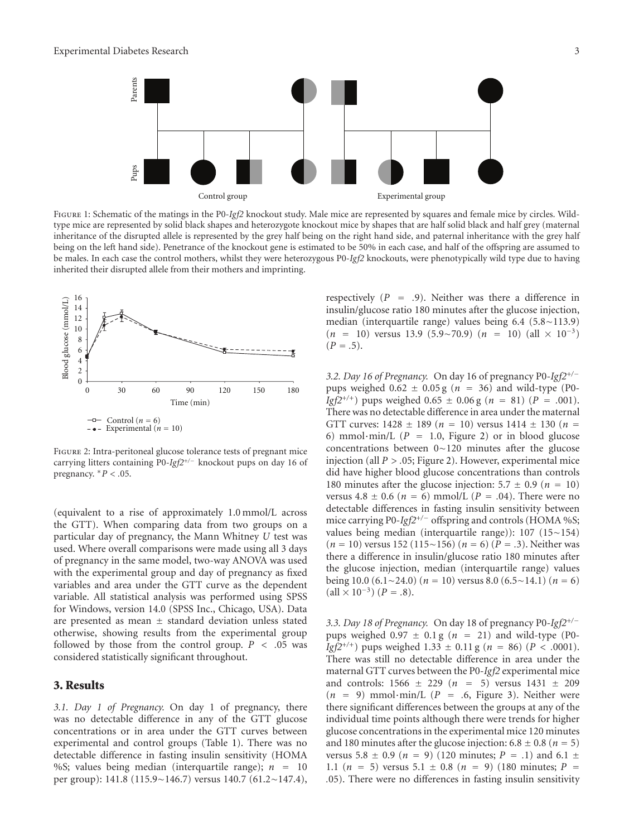

<span id="page-2-0"></span>Figure 1: Schematic of the matings in the P0-*Igf2* knockout study. Male mice are represented by squares and female mice by circles. Wildtype mice are represented by solid black shapes and heterozygote knockout mice by shapes that are half solid black and half grey (maternal inheritance of the disrupted allele is represented by the grey half being on the right hand side, and paternal inheritance with the grey half being on the left hand side). Penetrance of the knockout gene is estimated to be 50% in each case, and half of the offspring are assumed to be males. In each case the control mothers, whilst they were heterozygous P0-*Igf2* knockouts, were phenotypically wild type due to having inherited their disrupted allele from their mothers and imprinting.



<span id="page-2-1"></span>Figure 2: Intra-peritoneal glucose tolerance tests of pregnant mice carrying litters containing P0-*Igf2*<sup>+</sup>*/*<sup>−</sup> knockout pups on day 16 of pregnancy.  $*P < .05$ .

(equivalent to a rise of approximately 1.0 mmol/L across the GTT). When comparing data from two groups on a particular day of pregnancy, the Mann Whitney *U* test was used. Where overall comparisons were made using all 3 days of pregnancy in the same model, two-way ANOVA was used with the experimental group and day of pregnancy as fixed variables and area under the GTT curve as the dependent variable. All statistical analysis was performed using SPSS for Windows, version 14.0 (SPSS Inc., Chicago, USA). Data are presented as mean ± standard deviation unless stated otherwise, showing results from the experimental group followed by those from the control group.  $P < .05$  was considered statistically significant throughout.

#### **3. Results**

*3.1. Day 1 of Pregnancy.* On day 1 of pregnancy, there was no detectable difference in any of the GTT glucose concentrations or in area under the GTT curves between experimental and control groups (Table [1\)](#page-3-0). There was no detectable difference in fasting insulin sensitivity (HOMA %S; values being median (interquartile range); *<sup>n</sup>* <sup>=</sup> <sup>10</sup> per group): 141.8 (115.9∼146.7) versus 140.7 (61.2∼147.4), respectively (*<sup>P</sup>* <sup>=</sup> *.*9). Neither was there a difference in insulin/glucose ratio 180 minutes after the glucose injection, median (interquartile range) values being 6.4 (5.8∼113.9)  $(n = 10)$  versus 13.9 (5.9∼70.9)  $(n = 10)$  (all × 10<sup>-3</sup>)  $(P = .5)$ .

*3.2. Day 16 of Pregnancy.* On day 16 of pregnancy P0-*Igf2*<sup>+</sup>*/*<sup>−</sup> pups weighed  $0.62 \pm 0.05$  g ( $n = 36$ ) and wild-type (P0-*Igf* $2^{+/+}$ ) pups weighed 0.65  $\pm$  0.06 g (*n* = 81) (*P* = .001). There was no detectable difference in area under the maternal GTT curves:  $1428 \pm 189$  ( $n = 10$ ) versus  $1414 \pm 130$  ( $n =$ 6) mmol·min/L  $(P = 1.0,$  Figure [2\)](#page-2-1) or in blood glucose concentrations between 0∼120 minutes after the glucose injection (all *P* > .05; Figure [2\)](#page-2-1). However, experimental mice did have higher blood glucose concentrations than controls 180 minutes after the glucose injection:  $5.7 \pm 0.9$  ( $n = 10$ ) versus  $4.8 \pm 0.6$  ( $n = 6$ ) mmol/L ( $P = .04$ ). There were no detectable differences in fasting insulin sensitivity between mice carrying P0-*Igf2*<sup>+</sup>*/*<sup>−</sup> offspring and controls (HOMA %S; values being median (interquartile range)): 107 (15∼154) (*<sup>n</sup>* <sup>=</sup> 10) versus 152 (115∼156) (*<sup>n</sup>* <sup>=</sup> 6) (*<sup>P</sup>* <sup>=</sup> *.*3). Neither was there a difference in insulin/glucose ratio 180 minutes after the glucose injection, median (interquartile range) values being 10.0 (6.1∼24.0) (*<sup>n</sup>* <sup>=</sup> 10) versus 8.0 (6.5∼14.1) (*<sup>n</sup>* <sup>=</sup> 6)  $(\text{all} \times 10^{-3})$  (*P* = .8).

*3.3. Day 18 of Pregnancy.* On day 18 of pregnancy P0-*Igf2*<sup>+</sup>*/*<sup>−</sup> pups weighed  $0.97 \pm 0.1$  g ( $n = 21$ ) and wild-type (P0-*Igf*2<sup>+/+</sup>) pups weighed 1.33  $\pm$  0.11 g (*n* = 86) (*P* < .0001). There was still no detectable difference in area under the maternal GTT curves between the P0-*Igf2* experimental mice and controls:  $1566 \pm 229$  ( $n = 5$ ) versus  $1431 \pm 209$  $(n = 9)$  mmol·min/L  $(P = .6)$ , Figure [3\)](#page-3-1). Neither were there significant differences between the groups at any of the individual time points although there were trends for higher glucose concentrations in the experimental mice 120 minutes and 180 minutes after the glucose injection:  $6.8 \pm 0.8$  ( $n = 5$ ) versus 5.8  $\pm$  0.9 (*n* = 9) (120 minutes; *P* = .1) and 6.1  $\pm$ 1.1 ( $n = 5$ ) versus 5.1  $\pm$  0.8 ( $n = 9$ ) (180 minutes;  $P =$ *.*05). There were no differences in fasting insulin sensitivity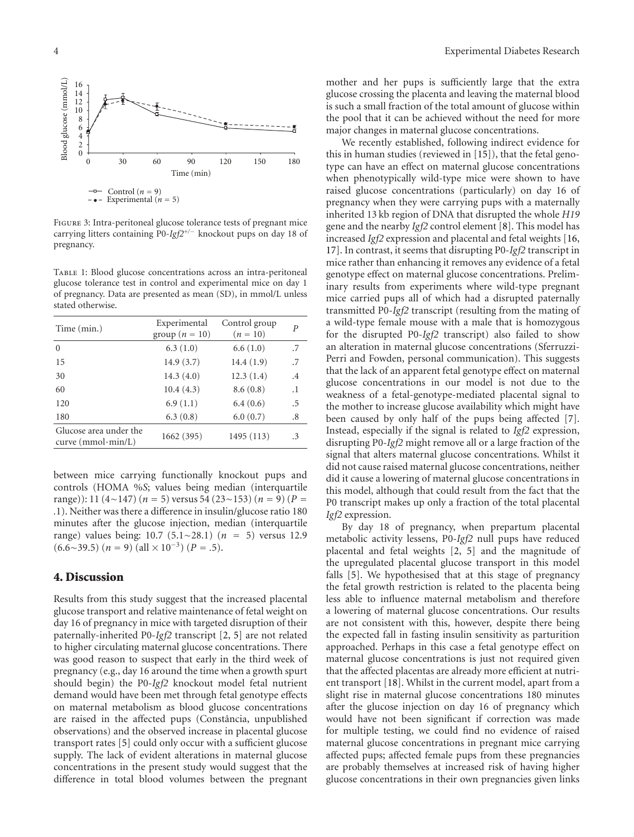

<span id="page-3-1"></span>Figure 3: Intra-peritoneal glucose tolerance tests of pregnant mice carrying litters containing P0-*Igf2*<sup>+</sup>*/*<sup>−</sup> knockout pups on day 18 of pregnancy.

<span id="page-3-0"></span>Table 1: Blood glucose concentrations across an intra-peritoneal glucose tolerance test in control and experimental mice on day 1 of pregnancy. Data are presented as mean (SD), in mmol/L unless stated otherwise.

| Time (min.)                                    | Experimental<br>group ( $n = 10$ ) | Control group<br>$(n = 10)$ | P         |
|------------------------------------------------|------------------------------------|-----------------------------|-----------|
| $\Omega$                                       | 6.3(1.0)                           | 6.6(1.0)                    | .7        |
| 15                                             | 14.9(3.7)                          | 14.4(1.9)                   | .7        |
| 30                                             | 14.3(4.0)                          | 12.3(1.4)                   | $\cdot$ 4 |
| 60                                             | 10.4(4.3)                          | 8.6(0.8)                    | $\cdot$ 1 |
| 120                                            | 6.9(1.1)                           | 6.4(0.6)                    | .5        |
| 180                                            | 6.3(0.8)                           | 6.0(0.7)                    | $.8\,$    |
| Glucose area under the<br>curve $(mmol·min/L)$ | 1662 (395)                         | 1495 (113)                  | .3        |

between mice carrying functionally knockout pups and controls (HOMA %*S*; values being median (interquartile range)): 11 (4∼147) (*<sup>n</sup>* <sup>=</sup> 5) versus 54 (23∼153) (*<sup>n</sup>* <sup>=</sup> 9) (*<sup>P</sup>* <sup>=</sup> *.*1). Neither was there a difference in insulin/glucose ratio 180 minutes after the glucose injection, median (interquartile range) values being: 10.7 (5.1∼28.1) (*<sup>n</sup>* <sup>=</sup> 5) versus 12.9  $(6.6 \sim 39.5)$   $(n = 9)$   $(\text{all} \times 10^{-3})$   $(P = .5)$ .

#### **4. Discussion**

Results from this study suggest that the increased placental glucose transport and relative maintenance of fetal weight on day 16 of pregnancy in mice with targeted disruption of their paternally-inherited P0-*Igf2* transcript [\[2,](#page-4-2) [5\]](#page-4-5) are not related to higher circulating maternal glucose concentrations. There was good reason to suspect that early in the third week of pregnancy (e.g., day 16 around the time when a growth spurt should begin) the P0-*Igf2* knockout model fetal nutrient demand would have been met through fetal genotype effects on maternal metabolism as blood glucose concentrations are raised in the affected pups (Constância, unpublished observations) and the observed increase in placental glucose transport rates [\[5](#page-4-5)] could only occur with a sufficient glucose supply. The lack of evident alterations in maternal glucose concentrations in the present study would suggest that the difference in total blood volumes between the pregnant

mother and her pups is sufficiently large that the extra glucose crossing the placenta and leaving the maternal blood is such a small fraction of the total amount of glucose within the pool that it can be achieved without the need for more major changes in maternal glucose concentrations.

We recently established, following indirect evidence for this in human studies (reviewed in [\[15\]](#page-4-15)), that the fetal genotype can have an effect on maternal glucose concentrations when phenotypically wild-type mice were shown to have raised glucose concentrations (particularly) on day 16 of pregnancy when they were carrying pups with a maternally inherited 13 kb region of DNA that disrupted the whole *H19* gene and the nearby *Igf2* control element [\[8\]](#page-4-8). This model has increased *Igf2* expression and placental and fetal weights [\[16](#page-4-16), [17](#page-4-17)]. In contrast, it seems that disrupting P0-*Igf2* transcript in mice rather than enhancing it removes any evidence of a fetal genotype effect on maternal glucose concentrations. Preliminary results from experiments where wild-type pregnant mice carried pups all of which had a disrupted paternally transmitted P0-*Igf2* transcript (resulting from the mating of a wild-type female mouse with a male that is homozygous for the disrupted P0-*Igf2* transcript) also failed to show an alteration in maternal glucose concentrations (Sferruzzi-Perri and Fowden, personal communication). This suggests that the lack of an apparent fetal genotype effect on maternal glucose concentrations in our model is not due to the weakness of a fetal-genotype-mediated placental signal to the mother to increase glucose availability which might have been caused by only half of the pups being affected [\[7\]](#page-4-7). Instead, especially if the signal is related to *Igf2* expression, disrupting P0-*Igf2* might remove all or a large fraction of the signal that alters maternal glucose concentrations. Whilst it did not cause raised maternal glucose concentrations, neither did it cause a lowering of maternal glucose concentrations in this model, although that could result from the fact that the P0 transcript makes up only a fraction of the total placental *Igf2* expression.

By day 18 of pregnancy, when prepartum placental metabolic activity lessens, P0-*Igf2* null pups have reduced placental and fetal weights [\[2,](#page-4-2) [5\]](#page-4-5) and the magnitude of the upregulated placental glucose transport in this model falls [\[5](#page-4-5)]. We hypothesised that at this stage of pregnancy the fetal growth restriction is related to the placenta being less able to influence maternal metabolism and therefore a lowering of maternal glucose concentrations. Our results are not consistent with this, however, despite there being the expected fall in fasting insulin sensitivity as parturition approached. Perhaps in this case a fetal genotype effect on maternal glucose concentrations is just not required given that the affected placentas are already more efficient at nutrient transport [\[18](#page-4-18)]. Whilst in the current model, apart from a slight rise in maternal glucose concentrations 180 minutes after the glucose injection on day 16 of pregnancy which would have not been significant if correction was made for multiple testing, we could find no evidence of raised maternal glucose concentrations in pregnant mice carrying affected pups; affected female pups from these pregnancies are probably themselves at increased risk of having higher glucose concentrations in their own pregnancies given links